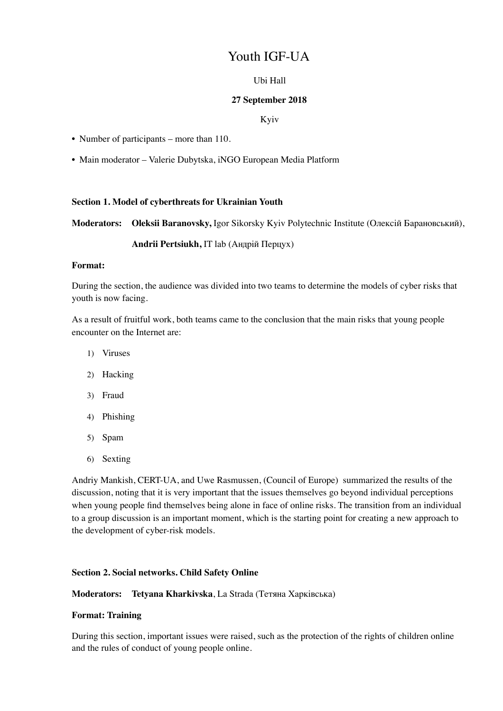# Youth IGF-UA

## Ubi Hall

## **27 September 2018**

Kyiv

• Number of participants – more than 110.

• Main moderator – Valerie Dubytska, iNGO European Media Platform

#### **Section 1. Model of cyberthreats for Ukrainian Youth**

**Moderators: Oleksii Baranovsky,** Igor Sikorsky Kyiv Polytechnic Institute (Олексій Барановський),

**Andrii Pertsiukh,** IT lab (Андрій Перцух)

#### **Format:**

During the section, the audience was divided into two teams to determine the models of cyber risks that youth is now facing.

As a result of fruitful work, both teams came to the conclusion that the main risks that young people encounter on the Internet are:

- 1) Viruses
- 2) Hacking
- 3) Fraud
- 4) Phishing
- 5) Spam
- 6) Sexting

Andriy Mankish, CERT-UA, and Uwe Rasmussen, (Council of Europe) summarized the results of the discussion, noting that it is very important that the issues themselves go beyond individual perceptions when young people find themselves being alone in face of online risks. The transition from an individual to a group discussion is an important moment, which is the starting point for creating a new approach to the development of cyber-risk models.

#### **Section 2. Social networks. Child Safety Online**

**Moderators: Tetyana Kharkivska**, La Strada (Тетяна Харківська)

#### **Format: Training**

During this section, important issues were raised, such as the protection of the rights of children online and the rules of conduct of young people online.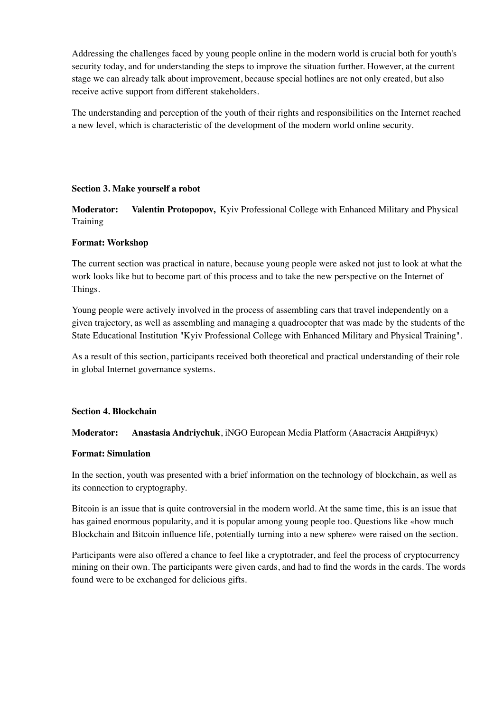Addressing the challenges faced by young people online in the modern world is crucial both for youth's security today, and for understanding the steps to improve the situation further. However, at the current stage we can already talk about improvement, because special hotlines are not only created, but also receive active support from different stakeholders.

The understanding and perception of the youth of their rights and responsibilities on the Internet reached a new level, which is characteristic of the development of the modern world online security.

## **Section 3. Make yourself a robot**

**Moderator: Valentin Protopopov,** Kyiv Professional College with Enhanced Military and Physical Training

## **Format: Workshop**

The current section was practical in nature, because young people were asked not just to look at what the work looks like but to become part of this process and to take the new perspective on the Internet of Things.

Young people were actively involved in the process of assembling cars that travel independently on a given trajectory, as well as assembling and managing a quadrocopter that was made by the students of the State Educational Institution "Kyiv Professional College with Enhanced Military and Physical Training".

As a result of this section, participants received both theoretical and practical understanding of their role in global Internet governance systems.

#### **Section 4. Blockchain**

**Moderator: Anastasia Andriychuk**, iNGO European Media Platform (Анастасія Андрійчук)

#### **Format: Simulation**

In the section, youth was presented with a brief information on the technology of blockchain, as well as its connection to cryptography.

Bitcoin is an issue that is quite controversial in the modern world. At the same time, this is an issue that has gained enormous popularity, and it is popular among young people too. Questions like «how much Blockchain and Bitcoin influence life, potentially turning into a new sphere» were raised on the section.

Participants were also offered a chance to feel like a cryptotrader, and feel the process of cryptocurrency mining on their own. The participants were given cards, and had to find the words in the cards. The words found were to be exchanged for delicious gifts.